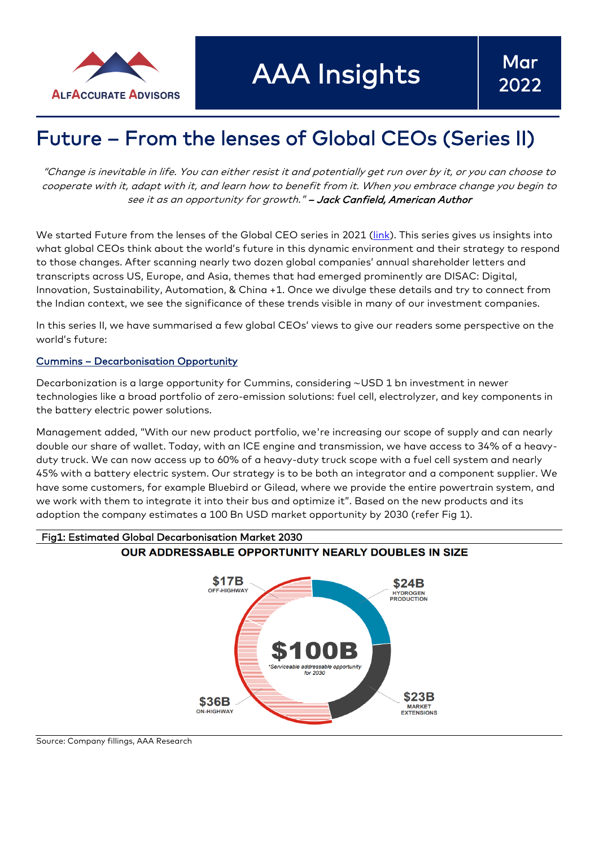

AAA Insights

# Future – From the lenses of Global CEOs (Series II)

"Change i<sup>s</sup> inevitable in life. You can either resist it and potentially get run over by it, or you can choose to cooperate with it, adapt with it, and learn how to benefit from it. When you embrace change you begin to see it as an opportunity for growth." - Jack Canfield, American Author

We started Future from the lenses of the Global CEO series in 2021 [\(link\)](https://www.alfaccurate.com/future-from-lenses-of-global-ceos). This series gives us insights into what global CEOs think about the world's future in this dynamic environment and their strategy to respond to those changes. After scanning nearly two dozen global companies' annual shareholder letters and transcripts across US, Europe, and Asia, themes that had emerged prominently are DISAC: Digital, Innovation, Sustainability, Automation, & China +1. Once we divulge these details and try to connect from the Indian context, we see the significance of these trends visible in many of our investment companies.

In this series II, we have summarised a few global CEOs' views to give our readers some perspective on the world's future:

#### Cummins – Decarbonisation Opportunity

Decarbonization is a large opportunity for Cummins, considering ~USD 1 bn investment in newer technologies like a broad portfolio of zero-emission solutions: fuel cell, electrolyzer, and key components in the battery electric power solutions.

Management added, "With our new product portfolio, we're increasing our scope of supply and can nearly double our share of wallet. Today, with an ICE engine and transmission, we have access to 34% of a heavyduty truck. We can now access up to 60% of a heavy-duty truck scope with a fuel cell system and nearly 45% with a battery electric system. Our strategy is to be both an integrator and a component supplier. We have some customers, for example Bluebird or Gilead, where we provide the entire powertrain system, and we work with them to integrate it into their bus and optimize it". Based on the new products and its adoption the company estimates a 100 Bn USD market opportunity by 2030 (refer Fig 1).





Source: Company fillings, AAA Research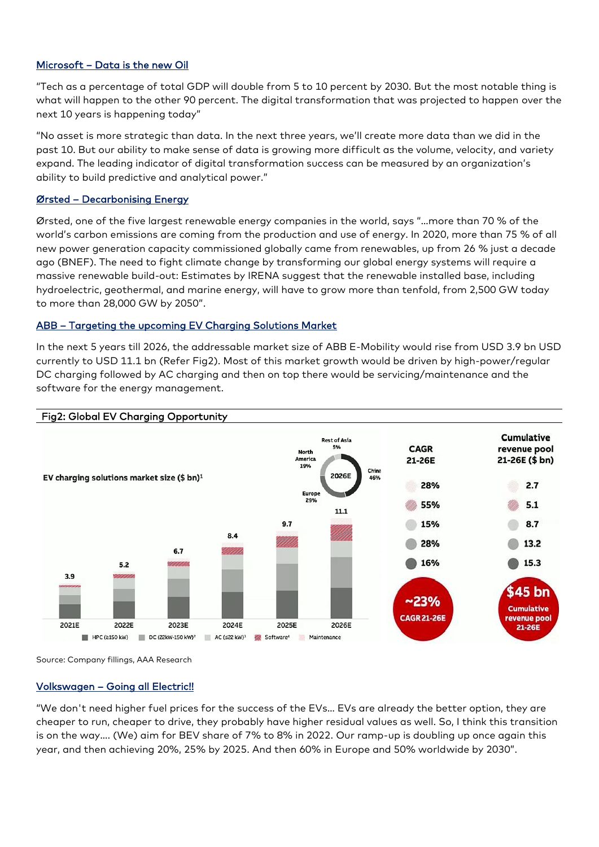# Microsoft – Data is the new Oil

"Tech as a percentage of total GDP will double from 5 to 10 percent by 2030. But the most notable thing is what will happen to the other 90 percent. The digital transformation that was projected to happen over the next 10 years is happening today"

"No asset is more strategic than data. In the next three years, we'll create more data than we did in the past 10. But our ability to make sense of data is growing more difficult as the volume, velocity, and variety expand. The leading indicator of digital transformation success can be measured by an organization's ability to build predictive and analytical power."

#### Ørsted – Decarbonising Energy

Ørsted, one of the five largest renewable energy companies in the world, says "…more than 70 % of the world's carbon emissions are coming from the production and use of energy. In 2020, more than 75 % of all new power generation capacity commissioned globally came from renewables, up from 26 % just a decade ago (BNEF). The need to fight climate change by transforming our global energy systems will require a massive renewable build-out: Estimates by IRENA suggest that the renewable installed base, including hydroelectric, geothermal, and marine energy, will have to grow more than tenfold, from 2,500 GW today to more than 28,000 GW by 2050".

# ABB – Targeting the upcoming EV Charging Solutions Market

In the next 5 years till 2026, the addressable market size of ABB E-Mobility would rise from USD 3.9 bn USD currently to USD 11.1 bn (Refer Fig2). Most of this market growth would be driven by high-power/regular DC charging followed by AC charging and then on top there would be servicing/maintenance and the software for the energy management.



# Fig2: Global EV Charging Opportunity

Source: Company fillings, AAA Research

#### Volkswagen – Going all Electric!!

"We don't need higher fuel prices for the success of the EVs… EVs are already the better option, they are cheaper to run, cheaper to drive, they probably have higher residual values as well. So, I think this transition is on the way…. (We) aim for BEV share of 7% to 8% in 2022. Our ramp-up is doubling up once again this year, and then achieving 20%, 25% by 2025. And then 60% in Europe and 50% worldwide by 2030".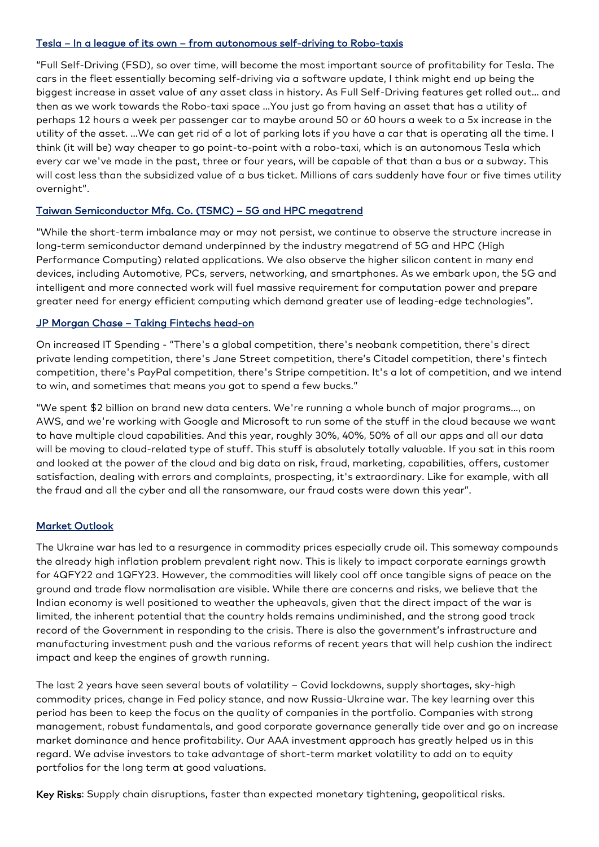#### Tesla – In a league of its own – from autonomous self-driving to Robo-taxis

"Full Self-Driving (FSD), so over time, will become the most important source of profitability for Tesla. The cars in the fleet essentially becoming self-driving via a software update, I think might end up being the biggest increase in asset value of any asset class in history. As Full Self-Driving features get rolled out… and then as we work towards the Robo-taxi space …You just go from having an asset that has a utility of perhaps 12 hours a week per passenger car to maybe around 50 or 60 hours a week to a 5x increase in the utility of the asset. …We can get rid of a lot of parking lots if you have a car that is operating all the time. I think (it will be) way cheaper to go point-to-point with a robo-taxi, which is an autonomous Tesla which every car we've made in the past, three or four years, will be capable of that than a bus or a subway. This will cost less than the subsidized value of a bus ticket. Millions of cars suddenly have four or five times utility overnight".

# Taiwan Semiconductor Mfg. Co. (TSMC) – 5G and HPC megatrend

"While the short-term imbalance may or may not persist, we continue to observe the structure increase in long-term semiconductor demand underpinned by the industry megatrend of 5G and HPC (High Performance Computing) related applications. We also observe the higher silicon content in many end devices, including Automotive, PCs, servers, networking, and smartphones. As we embark upon, the 5G and intelligent and more connected work will fuel massive requirement for computation power and prepare greater need for energy efficient computing which demand greater use of leading-edge technologies".

# JP Morgan Chase – Taking Fintechs head-on

On increased IT Spending - "There's a global competition, there's neobank competition, there's direct private lending competition, there's Jane Street competition, there's Citadel competition, there's fintech competition, there's PayPal competition, there's Stripe competition. It's a lot of competition, and we intend to win, and sometimes that means you got to spend a few bucks."

"We spent \$2 billion on brand new data centers. We're running a whole bunch of major programs…, on AWS, and we're working with Google and Microsoft to run some of the stuff in the cloud because we want to have multiple cloud capabilities. And this year, roughly 30%, 40%, 50% of all our apps and all our data will be moving to cloud-related type of stuff. This stuff is absolutely totally valuable. If you sat in this room and looked at the power of the cloud and big data on risk, fraud, marketing, capabilities, offers, customer satisfaction, dealing with errors and complaints, prospecting, it's extraordinary. Like for example, with all the fraud and all the cyber and all the ransomware, our fraud costs were down this year".

# Market Outlook

The Ukraine war has led to a resurgence in commodity prices especially crude oil. This someway compounds the already high inflation problem prevalent right now. This is likely to impact corporate earnings growth for 4QFY22 and 1QFY23. However, the commodities will likely cool off once tangible signs of peace on the ground and trade flow normalisation are visible. While there are concerns and risks, we believe that the Indian economy is well positioned to weather the upheavals, given that the direct impact of the war is limited, the inherent potential that the country holds remains undiminished, and the strong good track record of the Government in responding to the crisis. There is also the government's infrastructure and manufacturing investment push and the various reforms of recent years that will help cushion the indirect impact and keep the engines of growth running.

The last 2 years have seen several bouts of volatility – Covid lockdowns, supply shortages, sky-high commodity prices, change in Fed policy stance, and now Russia-Ukraine war. The key learning over this period has been to keep the focus on the quality of companies in the portfolio. Companies with strong management, robust fundamentals, and good corporate governance generally tide over and go on increase market dominance and hence profitability. Our AAA investment approach has greatly helped us in this regard. We advise investors to take advantage of short-term market volatility to add on to equity portfolios for the long term at good valuations.

Key Risks: Supply chain disruptions, faster than expected monetary tightening, geopolitical risks.